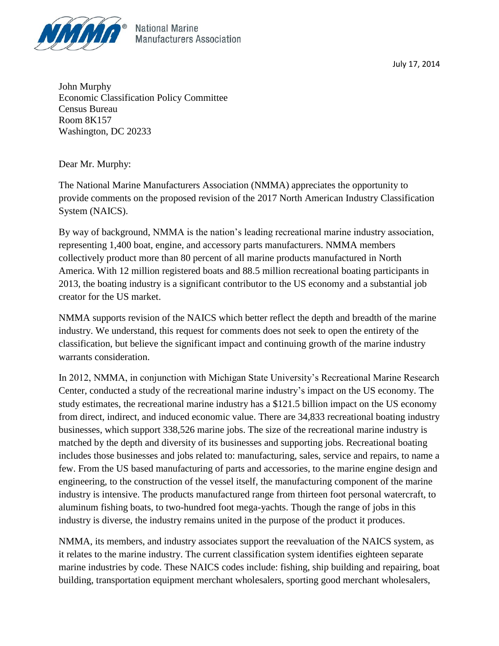

July 17, 2014

John Murphy Economic Classification Policy Committee Census Bureau Room 8K157 Washington, DC 20233

Dear Mr. Murphy:

The National Marine Manufacturers Association (NMMA) appreciates the opportunity to provide comments on the proposed revision of the 2017 North American Industry Classification System (NAICS).

By way of background, NMMA is the nation's leading recreational marine industry association, representing 1,400 boat, engine, and accessory parts manufacturers. NMMA members collectively product more than 80 percent of all marine products manufactured in North America. With 12 million registered boats and 88.5 million recreational boating participants in 2013, the boating industry is a significant contributor to the US economy and a substantial job creator for the US market.

NMMA supports revision of the NAICS which better reflect the depth and breadth of the marine industry. We understand, this request for comments does not seek to open the entirety of the classification, but believe the significant impact and continuing growth of the marine industry warrants consideration.

In 2012, NMMA, in conjunction with Michigan State University's Recreational Marine Research Center, conducted a study of the recreational marine industry's impact on the US economy. The study estimates, the recreational marine industry has a \$121.5 billion impact on the US economy from direct, indirect, and induced economic value. There are 34,833 recreational boating industry businesses, which support 338,526 marine jobs. The size of the recreational marine industry is matched by the depth and diversity of its businesses and supporting jobs. Recreational boating includes those businesses and jobs related to: manufacturing, sales, service and repairs, to name a few. From the US based manufacturing of parts and accessories, to the marine engine design and engineering, to the construction of the vessel itself, the manufacturing component of the marine industry is intensive. The products manufactured range from thirteen foot personal watercraft, to aluminum fishing boats, to two-hundred foot mega-yachts. Though the range of jobs in this industry is diverse, the industry remains united in the purpose of the product it produces.

NMMA, its members, and industry associates support the reevaluation of the NAICS system, as it relates to the marine industry. The current classification system identifies eighteen separate marine industries by code. These NAICS codes include: fishing, ship building and repairing, boat building, transportation equipment merchant wholesalers, sporting good merchant wholesalers,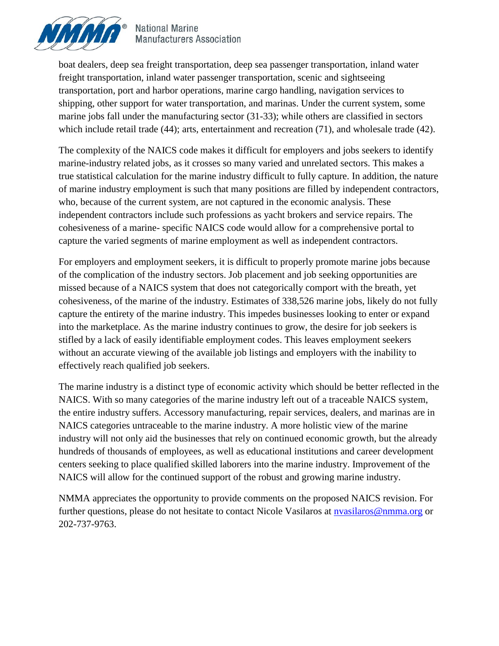

**National Marine Manufacturers Association** 

boat dealers, deep sea freight transportation, deep sea passenger transportation, inland water freight transportation, inland water passenger transportation, scenic and sightseeing transportation, port and harbor operations, marine cargo handling, navigation services to shipping, other support for water transportation, and marinas. Under the current system, some marine jobs fall under the manufacturing sector (31-33); while others are classified in sectors which include retail trade (44); arts, entertainment and recreation (71), and wholesale trade (42).

The complexity of the NAICS code makes it difficult for employers and jobs seekers to identify marine-industry related jobs, as it crosses so many varied and unrelated sectors. This makes a true statistical calculation for the marine industry difficult to fully capture. In addition, the nature of marine industry employment is such that many positions are filled by independent contractors, who, because of the current system, are not captured in the economic analysis. These independent contractors include such professions as yacht brokers and service repairs. The cohesiveness of a marine- specific NAICS code would allow for a comprehensive portal to capture the varied segments of marine employment as well as independent contractors.

For employers and employment seekers, it is difficult to properly promote marine jobs because of the complication of the industry sectors. Job placement and job seeking opportunities are missed because of a NAICS system that does not categorically comport with the breath, yet cohesiveness, of the marine of the industry. Estimates of 338,526 marine jobs, likely do not fully capture the entirety of the marine industry. This impedes businesses looking to enter or expand into the marketplace. As the marine industry continues to grow, the desire for job seekers is stifled by a lack of easily identifiable employment codes. This leaves employment seekers without an accurate viewing of the available job listings and employers with the inability to effectively reach qualified job seekers.

The marine industry is a distinct type of economic activity which should be better reflected in the NAICS. With so many categories of the marine industry left out of a traceable NAICS system, the entire industry suffers. Accessory manufacturing, repair services, dealers, and marinas are in NAICS categories untraceable to the marine industry. A more holistic view of the marine industry will not only aid the businesses that rely on continued economic growth, but the already hundreds of thousands of employees, as well as educational institutions and career development centers seeking to place qualified skilled laborers into the marine industry. Improvement of the NAICS will allow for the continued support of the robust and growing marine industry.

NMMA appreciates the opportunity to provide comments on the proposed NAICS revision. For further questions, please do not hesitate to contact Nicole Vasilaros at [nvasilaros@nmma.org](mailto:nvasilaros@nmma.org) or 202-737-9763.